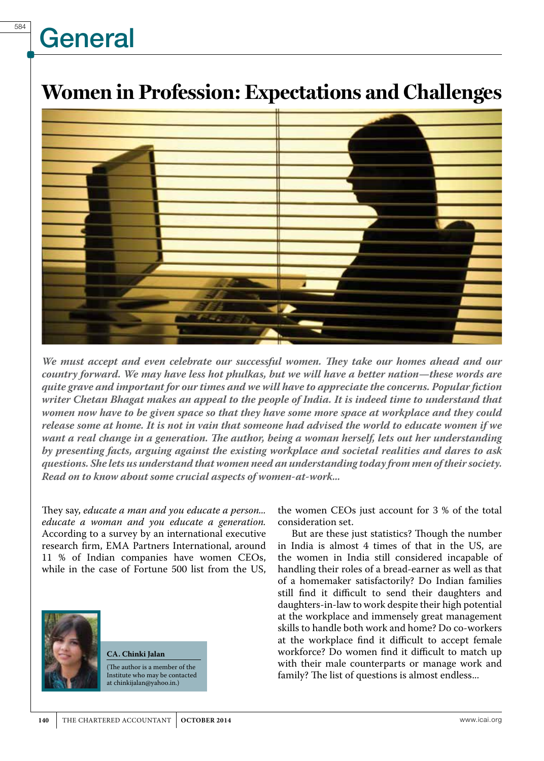# **General**

### **Women in Profession: Expectations and Challenges**



*We must accept and even celebrate our successful women. They take our homes ahead and our country forward. We may have less hot phulkas, but we will have a better nation—these words are quite grave and important for our times and we will have to appreciate the concerns. Popular fiction writer Chetan Bhagat makes an appeal to the people of India. It is indeed time to understand that women now have to be given space so that they have some more space at workplace and they could release some at home. It is not in vain that someone had advised the world to educate women if we want a real change in a generation. The author, being a woman herself, lets out her understanding by presenting facts, arguing against the existing workplace and societal realities and dares to ask questions. She lets us understand that women need an understanding today from men of their society. Read on to know about some crucial aspects of women-at-work...*

They say, *educate a man and you educate a person... educate a woman and you educate a generation.*  According to a survey by an international executive research firm, EMA Partners International, around 11 % of Indian companies have women CEOs, while in the case of Fortune 500 list from the US,



#### **CA. Chinki Jalan**

(The author is a member of the Institute who may be contacted at chinkijalan@yahoo.in.)

the women CEOs just account for 3 % of the total consideration set.

But are these just statistics? Though the number in India is almost 4 times of that in the US, are the women in India still considered incapable of handling their roles of a bread-earner as well as that of a homemaker satisfactorily? Do Indian families still find it difficult to send their daughters and daughters-in-law to work despite their high potential at the workplace and immensely great management skills to handle both work and home? Do co-workers at the workplace find it difficult to accept female workforce? Do women find it difficult to match up with their male counterparts or manage work and family? The list of questions is almost endless...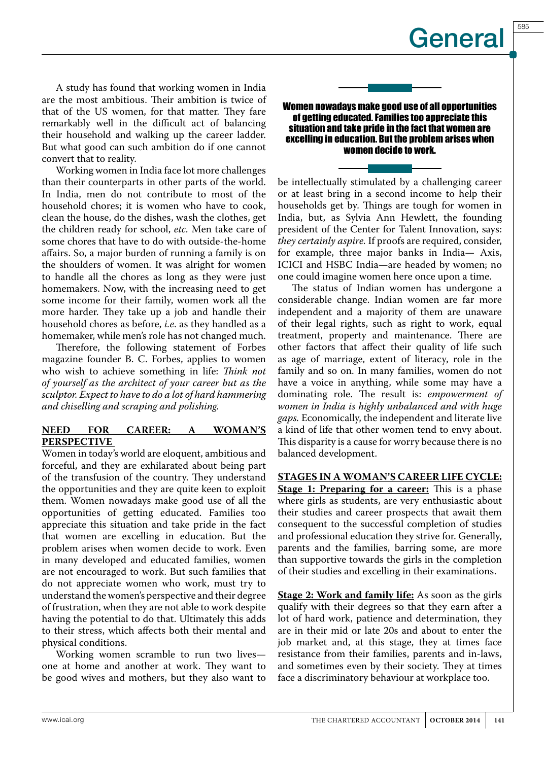585

A study has found that working women in India are the most ambitious. Their ambition is twice of that of the US women, for that matter. They fare remarkably well in the difficult act of balancing their household and walking up the career ladder. But what good can such ambition do if one cannot convert that to reality.

Working women in India face lot more challenges than their counterparts in other parts of the world. In India, men do not contribute to most of the household chores; it is women who have to cook, clean the house, do the dishes, wash the clothes, get the children ready for school, *etc.* Men take care of some chores that have to do with outside-the-home affairs. So, a major burden of running a family is on the shoulders of women. It was alright for women to handle all the chores as long as they were just homemakers. Now, with the increasing need to get some income for their family, women work all the more harder. They take up a job and handle their household chores as before, *i.e*. as they handled as a homemaker, while men's role has not changed much.

Therefore, the following statement of Forbes magazine founder B. C. Forbes, applies to women who wish to achieve something in life: *Think not of yourself as the architect of your career but as the sculptor. Expect to have to do a lot of hard hammering and chiselling and scraping and polishing.*

#### **NEED FOR CAREER: A WOMAN'S PERSPECTIVE**

Women in today's world are eloquent, ambitious and forceful, and they are exhilarated about being part of the transfusion of the country. They understand the opportunities and they are quite keen to exploit them. Women nowadays make good use of all the opportunities of getting educated. Families too appreciate this situation and take pride in the fact that women are excelling in education. But the problem arises when women decide to work. Even in many developed and educated families, women are not encouraged to work. But such families that do not appreciate women who work, must try to understand the women's perspective and their degree of frustration, when they are not able to work despite having the potential to do that. Ultimately this adds to their stress, which affects both their mental and physical conditions.

Working women scramble to run two lives one at home and another at work. They want to be good wives and mothers, but they also want to

Women nowadays make good use of all opportunities of getting educated. Families too appreciate this situation and take pride in the fact that women are excelling in education. But the problem arises when women decide to work.

be intellectually stimulated by a challenging career or at least bring in a second income to help their households get by. Things are tough for women in India, but, as Sylvia Ann Hewlett, the founding president of the Center for Talent Innovation, says: *they certainly aspire.* If proofs are required, consider, for example, three major banks in India— Axis, ICICI and HSBC India—are headed by women; no one could imagine women here once upon a time.

The status of Indian women has undergone a considerable change. Indian women are far more independent and a majority of them are unaware of their legal rights, such as right to work, equal treatment, property and maintenance. There are other factors that affect their quality of life such as age of marriage, extent of literacy, role in the family and so on. In many families, women do not have a voice in anything, while some may have a dominating role. The result is: *empowerment of women in India is highly unbalanced and with huge gaps.* Economically, the independent and literate live a kind of life that other women tend to envy about. This disparity is a cause for worry because there is no balanced development.

**STAGES IN A WOMAN'S CAREER LIFE CYCLE: Stage 1: Preparing for a career:** This is a phase where girls as students, are very enthusiastic about their studies and career prospects that await them consequent to the successful completion of studies and professional education they strive for. Generally, parents and the families, barring some, are more than supportive towards the girls in the completion of their studies and excelling in their examinations.

**Stage 2: Work and family life:** As soon as the girls qualify with their degrees so that they earn after a lot of hard work, patience and determination, they are in their mid or late 20s and about to enter the job market and, at this stage, they at times face resistance from their families, parents and in-laws, and sometimes even by their society. They at times face a discriminatory behaviour at workplace too.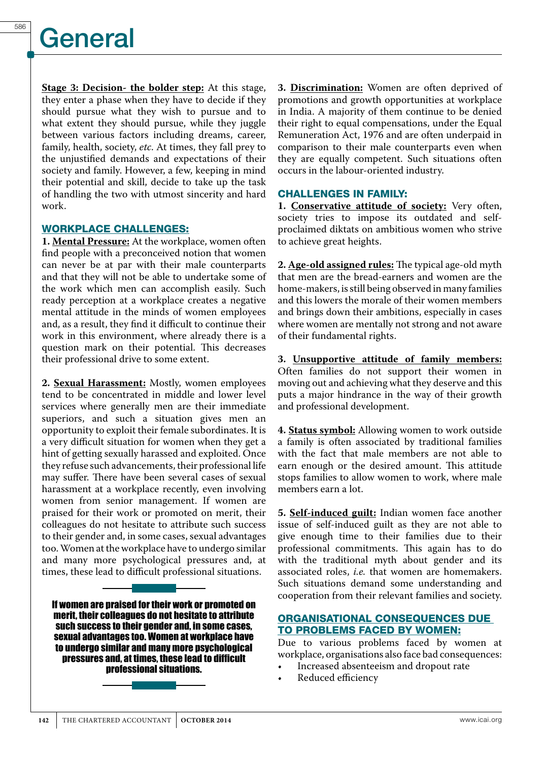## **General**

**Stage 3: Decision- the bolder step:** At this stage, they enter a phase when they have to decide if they should pursue what they wish to pursue and to what extent they should pursue, while they juggle between various factors including dreams, career, family, health, society, *etc*. At times, they fall prey to the unjustified demands and expectations of their society and family. However, a few, keeping in mind their potential and skill, decide to take up the task of handling the two with utmost sincerity and hard work.

#### WORKPLACE CHALLENGES:

**1. Mental Pressure:** At the workplace, women often find people with a preconceived notion that women can never be at par with their male counterparts and that they will not be able to undertake some of the work which men can accomplish easily. Such ready perception at a workplace creates a negative mental attitude in the minds of women employees and, as a result, they find it difficult to continue their work in this environment, where already there is a question mark on their potential. This decreases their professional drive to some extent.

**2. Sexual Harassment:** Mostly, women employees tend to be concentrated in middle and lower level services where generally men are their immediate superiors, and such a situation gives men an opportunity to exploit their female subordinates. It is a very difficult situation for women when they get a hint of getting sexually harassed and exploited. Once they refuse such advancements, their professional life may suffer. There have been several cases of sexual harassment at a workplace recently, even involving women from senior management. If women are praised for their work or promoted on merit, their colleagues do not hesitate to attribute such success to their gender and, in some cases, sexual advantages too. Women at the workplace have to undergo similar and many more psychological pressures and, at times, these lead to difficult professional situations.

If women are praised for their work or promoted on merit, their colleagues do not hesitate to attribute such success to their gender and, in some cases, sexual advantages too. Women at workplace have to undergo similar and many more psychological pressures and, at times, these lead to difficult professional situations.

**3. Discrimination:** Women are often deprived of promotions and growth opportunities at workplace in India. A majority of them continue to be denied their right to equal compensations, under the Equal Remuneration Act, 1976 and are often underpaid in comparison to their male counterparts even when they are equally competent. Such situations often occurs in the labour-oriented industry.

#### CHALLENGES IN FAMILY:

**1. Conservative attitude of society:** Very often, society tries to impose its outdated and selfproclaimed diktats on ambitious women who strive to achieve great heights.

**2. Age-old assigned rules:** The typical age-old myth that men are the bread-earners and women are the home-makers, is still being observed in many families and this lowers the morale of their women members and brings down their ambitions, especially in cases where women are mentally not strong and not aware of their fundamental rights.

**3. Unsupportive attitude of family members:** Often families do not support their women in moving out and achieving what they deserve and this puts a major hindrance in the way of their growth and professional development.

**4. Status symbol:** Allowing women to work outside a family is often associated by traditional families with the fact that male members are not able to earn enough or the desired amount. This attitude stops families to allow women to work, where male members earn a lot.

**5. Self-induced guilt:** Indian women face another issue of self-induced guilt as they are not able to give enough time to their families due to their professional commitments. This again has to do with the traditional myth about gender and its associated roles, *i.e.* that women are homemakers. Such situations demand some understanding and cooperation from their relevant families and society.

#### ORGANISATIONAL CONSEQUENCES DUE TO PROBLEMS FACED BY WOMEN:

Due to various problems faced by women at workplace, organisations also face bad consequences:

- • Increased absenteeism and dropout rate
- Reduced efficiency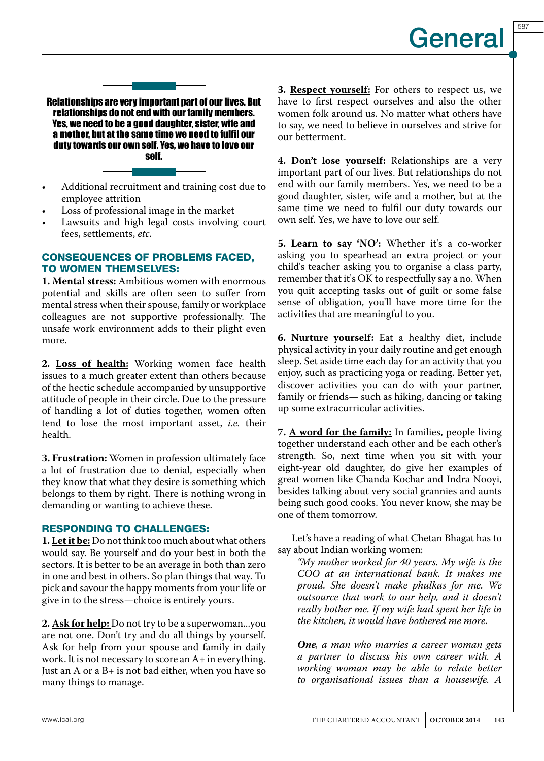587

Relationships are very important part of our lives. But relationships do not end with our family members. Yes, we need to be a good daughter, sister, wife and a mother, but at the same time we need to fulfil our duty towards our own self. Yes, we have to love our self.

- Additional recruitment and training cost due to employee attrition
- Loss of professional image in the market
- Lawsuits and high legal costs involving court fees, settlements, *etc.*

#### CONSEQUENCES OF PROBLEMS FACED, TO WOMEN THEMSELVES:

**1. Mental stress:** Ambitious women with enormous potential and skills are often seen to suffer from mental stress when their spouse, family or workplace colleagues are not supportive professionally. The unsafe work environment adds to their plight even more.

**2. Loss of health:** Working women face health issues to a much greater extent than others because of the hectic schedule accompanied by unsupportive attitude of people in their circle. Due to the pressure of handling a lot of duties together, women often tend to lose the most important asset, *i.e.* their health.

**3. Frustration:** Women in profession ultimately face a lot of frustration due to denial, especially when they know that what they desire is something which belongs to them by right. There is nothing wrong in demanding or wanting to achieve these.

#### RESPONDING TO CHALLENGES:

**1. Let it be:** Do not think too much about what others would say. Be yourself and do your best in both the sectors. It is better to be an average in both than zero in one and best in others. So plan things that way. To pick and savour the happy moments from your life or give in to the stress—choice is entirely yours.

**2. Ask for help:** Do not try to be a superwoman...you are not one. Don't try and do all things by yourself. Ask for help from your spouse and family in daily work. It is not necessary to score an A+ in everything. Just an A or a B+ is not bad either, when you have so many things to manage.

**3. Respect yourself:** For others to respect us, we have to first respect ourselves and also the other women folk around us. No matter what others have to say, we need to believe in ourselves and strive for our betterment.

**4. Don't lose yourself:** Relationships are a very important part of our lives. But relationships do not end with our family members. Yes, we need to be a good daughter, sister, wife and a mother, but at the same time we need to fulfil our duty towards our own self. Yes, we have to love our self.

**5. Learn to say 'NO':** Whether it's a co-worker asking you to spearhead an extra project or your child's teacher asking you to organise a class party, remember that it's OK to respectfully say a no. When you quit accepting tasks out of guilt or some false sense of obligation, you'll have more time for the activities that are meaningful to you.

**6. Nurture yourself:** Eat a healthy diet, include physical activity in your daily routine and get enough sleep. Set aside time each day for an activity that you enjoy, such as practicing yoga or reading. Better yet, discover activities you can do with your partner, family or friends— such as hiking, dancing or taking up some extracurricular activities.

**7. A word for the family:** In families, people living together understand each other and be each other's strength. So, next time when you sit with your eight-year old daughter, do give her examples of great women like Chanda Kochar and Indra Nooyi, besides talking about very social grannies and aunts being such good cooks. You never know, she may be one of them tomorrow.

Let's have a reading of what Chetan Bhagat has to say about Indian working women:

*"My mother worked for 40 years. My wife is the COO at an international bank. It makes me proud. She doesn't make phulkas for me. We outsource that work to our help, and it doesn't really bother me. If my wife had spent her life in the kitchen, it would have bothered me more.*

*One, a man who marries a career woman gets a partner to discuss his own career with. A working woman may be able to relate better to organisational issues than a housewife. A*